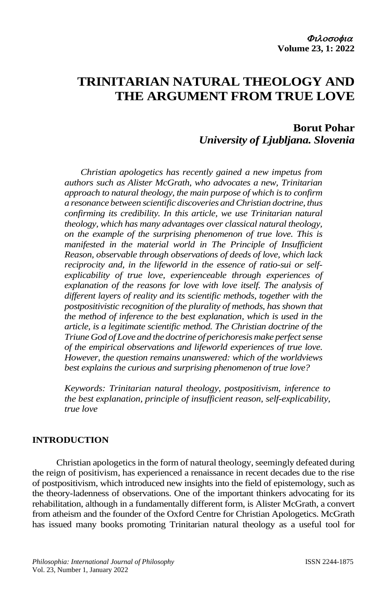# **TRINITARIAN NATURAL THEOLOGY AND THE ARGUMENT FROM TRUE LOVE**

# **Borut Pohar** *University of Ljubljana. Slovenia*

*Christian apologetics has recently gained a new impetus from authors such as Alister McGrath, who advocates a new, Trinitarian approach to natural theology, the main purpose of which is to confirm a resonance between scientific discoveries and Christian doctrine, thus confirming its credibility. In this article, we use Trinitarian natural theology, which has many advantages over classical natural theology, on the example of the surprising phenomenon of true love. This is manifested in the material world in The Principle of Insufficient Reason, observable through observations of deeds of love, which lack reciprocity and, in the lifeworld in the essence of ratio-sui or selfexplicability of true love, experienceable through experiences of explanation of the reasons for love with love itself. The analysis of different layers of reality and its scientific methods, together with the postpositivistic recognition of the plurality of methods, has shown that the method of inference to the best explanation, which is used in the article, is a legitimate scientific method. The Christian doctrine of the Triune* God of Love and the doctrine of perichoresis make perfect sense *of the empirical observations and lifeworld experiences of true love. However, the question remains unanswered: which of the worldviews best explains the curious and surprising phenomenon of true love?*

*Keywords: Trinitarian natural theology, postpositivism, inference to the best explanation, principle of insufficient reason, self-explicability, true love*

# **INTRODUCTION**

Christian apologetics in the form of natural theology, seemingly defeated during the reign of positivism, has experienced a renaissance in recent decades due to the rise of postpositivism, which introduced new insights into the field of epistemology, such as the theory-ladenness of observations. One of the important thinkers advocating for its rehabilitation, although in a fundamentally different form, is Alister McGrath, a convert from atheism and the founder of the Oxford Centre for Christian Apologetics. McGrath has issued many books promoting Trinitarian natural theology as a useful tool for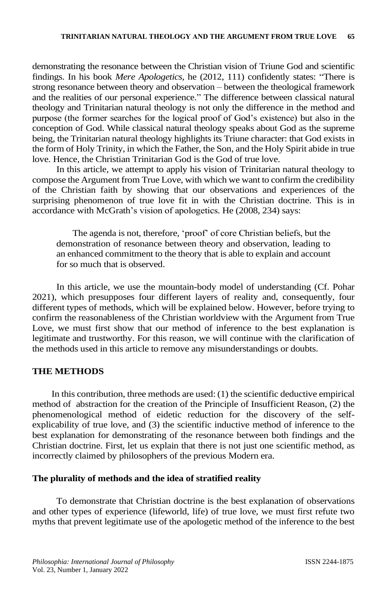demonstrating the resonance between the Christian vision of Triune God and scientific findings. In his book *Mere Apologetics*, he (2012, 111) confidently states: "There is strong resonance between theory and observation – between the theological framework and the realities of our personal experience." The difference between classical natural theology and Trinitarian natural theology is not only the difference in the method and purpose (the former searches for the logical proof of God's existence) but also in the conception of God. While classical natural theology speaks about God as the supreme being, the Trinitarian natural theology highlights its Triune character: that God exists in the form of Holy Trinity, in which the Father, the Son, and the Holy Spirit abide in true love. Hence, the Christian Trinitarian God is the God of true love.

In this article, we attempt to apply his vision of Trinitarian natural theology to compose the Argument from True Love, with which we want to confirm the credibility of the Christian faith by showing that our observations and experiences of the surprising phenomenon of true love fit in with the Christian doctrine. This is in accordance with McGrath's vision of apologetics. He (2008, 234) says:

The agenda is not, therefore, 'proof' of core Christian beliefs, but the demonstration of resonance between theory and observation, leading to an enhanced commitment to the theory that is able to explain and account for so much that is observed.

In this article, we use the mountain-body model of understanding (Cf. Pohar 2021), which presupposes four different layers of reality and, consequently, four different types of methods, which will be explained below. However, before trying to confirm the reasonableness of the Christian worldview with the Argument from True Love, we must first show that our method of inference to the best explanation is legitimate and trustworthy. For this reason, we will continue with the clarification of the methods used in this article to remove any misunderstandings or doubts.

# **THE METHODS**

In this contribution, three methods are used: (1) the scientific deductive empirical method of abstraction for the creation of the Principle of Insufficient Reason, (2) the phenomenological method of eidetic reduction for the discovery of the selfexplicability of true love, and (3) the scientific inductive method of inference to the best explanation for demonstrating of the resonance between both findings and the Christian doctrine. First, let us explain that there is not just one scientific method, as incorrectly claimed by philosophers of the previous Modern era.

# **The plurality of methods and the idea of stratified reality**

To demonstrate that Christian doctrine is the best explanation of observations and other types of experience (lifeworld, life) of true love, we must first refute two myths that prevent legitimate use of the apologetic method of the inference to the best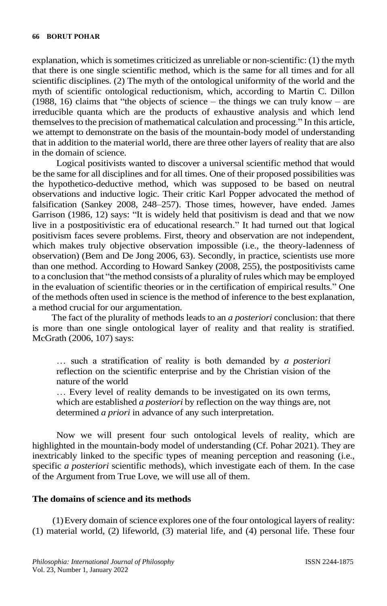explanation, which is sometimes criticized as unreliable or non-scientific: (1) the myth that there is one single scientific method, which is the same for all times and for all scientific disciplines. (2) The myth of the ontological uniformity of the world and the myth of scientific ontological reductionism, which, according to Martin C. Dillon (1988, 16) claims that "the objects of science – the things we can truly know – are irreducible quanta which are the products of exhaustive analysis and which lend themselves to the precision of mathematical calculation and processing." In this article, we attempt to demonstrate on the basis of the mountain-body model of understanding that in addition to the material world, there are three other layers of reality that are also in the domain of science.

Logical positivists wanted to discover a universal scientific method that would be the same for all disciplines and for all times. One of their proposed possibilities was the hypothetico-deductive method, which was supposed to be based on neutral observations and inductive logic. Their critic Karl Popper advocated the method of falsification (Sankey 2008, 248–257). Those times, however, have ended. James Garrison (1986, 12) says: "It is widely held that positivism is dead and that we now live in a postpositivistic era of educational research." It had turned out that logical positivism faces severe problems. First, theory and observation are not independent, which makes truly objective observation impossible (i.e., the theory-ladenness of observation) (Bem and De Jong 2006, 63). Secondly, in practice, scientists use more than one method. According to Howard Sankey (2008, 255), the postpositivists came to a conclusion that "the method consists of a plurality of rules which may be employed in the evaluation of scientific theories or in the certification of empirical results." One of the methods often used in science is the method of inference to the best explanation, a method crucial for our argumentation.

The fact of the plurality of methods leads to an *a posteriori* conclusion: that there is more than one single ontological layer of reality and that reality is stratified. McGrath (2006, 107) says:

… such a stratification of reality is both demanded by *a posteriori* reflection on the scientific enterprise and by the Christian vision of the nature of the world

… Every level of reality demands to be investigated on its own terms, which are established *a posteriori* by reflection on the way things are, not determined *a priori* in advance of any such interpretation.

Now we will present four such ontological levels of reality, which are highlighted in the mountain-body model of understanding (Cf. Pohar 2021). They are inextricably linked to the specific types of meaning perception and reasoning (i.e., specific *a posteriori* scientific methods), which investigate each of them. In the case of the Argument from True Love, we will use all of them.

#### **The domains of science and its methods**

(1)Every domain of science explores one of the four ontological layers of reality: (1) material world, (2) lifeworld, (3) material life, and (4) personal life. These four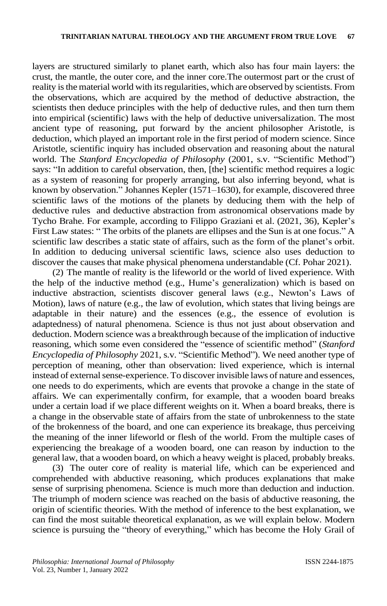layers are structured similarly to planet earth, which also has four main layers: the crust, the mantle, the outer core, and the inner core.The outermost part or the crust of reality is the material world with its regularities, which are observed by scientists. From the observations, which are acquired by the method of deductive abstraction, the scientists then deduce principles with the help of deductive rules, and then turn them into empirical (scientific) laws with the help of deductive universalization. The most ancient type of reasoning, put forward by the ancient philosopher Aristotle, is deduction, which played an important role in the first period of modern science. Since Aristotle, scientific inquiry has included observation and reasoning about the natural world. The *Stanford Encyclopedia of Philosophy* (2001, s.v. "Scientific Method") says: "In addition to careful observation, then, [the] scientific method requires a logic as a system of reasoning for properly arranging, but also inferring beyond, what is known by observation." Johannes Kepler (1571–1630), for example, discovered three scientific laws of the motions of the planets by deducing them with the help of deductive rules and deductive abstraction from astronomical observations made by Tycho Brahe. For example, according to Filippo Graziani et al. (2021, 36), Kepler's First Law states: " The orbits of the planets are ellipses and the Sun is at one focus." A scientific law describes a static state of affairs, such as the form of the planet's orbit. In addition to deducing universal scientific laws, science also uses deduction to discover the causes that make physical phenomena understandable (Cf. Pohar 2021).

(2) The mantle of reality is the lifeworld or the world of lived experience. With the help of the inductive method (e.g., Hume's generalization) which is based on inductive abstraction, scientists discover general laws (e.g., Newton's Laws of Motion), laws of nature (e.g., the law of evolution, which states that living beings are adaptable in their nature) and the essences (e.g., the essence of evolution is adaptedness) of natural phenomena. Science is thus not just about observation and deduction. Modern science was a breakthrough because of the implication of inductive reasoning, which some even considered the "essence of scientific method" (*Stanford Encyclopedia of Philosophy* 2021, s.v. "Scientific Method"). We need another type of perception of meaning, other than observation: lived experience, which is internal instead of external sense-experience. To discover invisible laws of nature and essences, one needs to do experiments, which are events that provoke a change in the state of affairs. We can experimentally confirm, for example, that a wooden board breaks under a certain load if we place different weights on it. When a board breaks, there is a change in the observable state of affairs from the state of unbrokenness to the state of the brokenness of the board, and one can experience its breakage, thus perceiving the meaning of the inner lifeworld or flesh of the world. From the multiple cases of experiencing the breakage of a wooden board, one can reason by induction to the general law, that a wooden board, on which a heavy weight is placed, probably breaks.

(3) The outer core of reality is material life, which can be experienced and comprehended with abductive reasoning, which produces explanations that make sense of surprising phenomena. Science is much more than deduction and induction. The triumph of modern science was reached on the basis of abductive reasoning, the origin of scientific theories. With the method of inference to the best explanation, we can find the most suitable theoretical explanation, as we will explain below. Modern science is pursuing the "theory of everything," which has become the Holy Grail of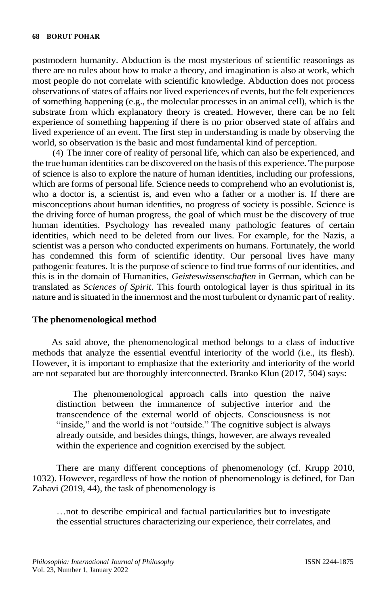postmodern humanity. Abduction is the most mysterious of scientific reasonings as there are no rules about how to make a theory, and imagination is also at work, which most people do not correlate with scientific knowledge. Abduction does not process observations of states of affairs nor lived experiences of events, but the felt experiences of something happening (e.g., the molecular processes in an animal cell), which is the substrate from which explanatory theory is created. However, there can be no felt experience of something happening if there is no prior observed state of affairs and lived experience of an event. The first step in understanding is made by observing the world, so observation is the basic and most fundamental kind of perception.

(4) The inner core of reality of personal life, which can also be experienced, and the true human identities can be discovered on the basis of this experience. The purpose of science is also to explore the nature of human identities, including our professions, which are forms of personal life. Science needs to comprehend who an evolutionist is, who a doctor is, a scientist is, and even who a father or a mother is. If there are misconceptions about human identities, no progress of society is possible. Science is the driving force of human progress, the goal of which must be the discovery of true human identities. Psychology has revealed many pathologic features of certain identities, which need to be deleted from our lives. For example, for the Nazis, a scientist was a person who conducted experiments on humans. Fortunately, the world has condemned this form of scientific identity. Our personal lives have many pathogenic features. It is the purpose of science to find true forms of our identities, and this is in the domain of Humanities, *Geisteswissenschaften* in German, which can be translated as *Sciences of Spirit*. This fourth ontological layer is thus spiritual in its nature and is situated in the innermost and the most turbulent or dynamic part of reality.

#### **The phenomenological method**

As said above, the phenomenological method belongs to a class of inductive methods that analyze the essential eventful interiority of the world (i.e., its flesh). However, it is important to emphasize that the exteriority and interiority of the world are not separated but are thoroughly interconnected. Branko Klun (2017, 504) says:

The phenomenological approach calls into question the naive distinction between the immanence of subjective interior and the transcendence of the external world of objects. Consciousness is not "inside," and the world is not "outside." The cognitive subject is always already outside, and besides things, things, however, are always revealed within the experience and cognition exercised by the subject.

There are many different conceptions of phenomenology (cf. Krupp 2010, 1032). However, regardless of how the notion of phenomenology is defined, for Dan Zahavi (2019, 44), the task of phenomenology is

…not to describe empirical and factual particularities but to investigate the essential structures characterizing our experience, their correlates, and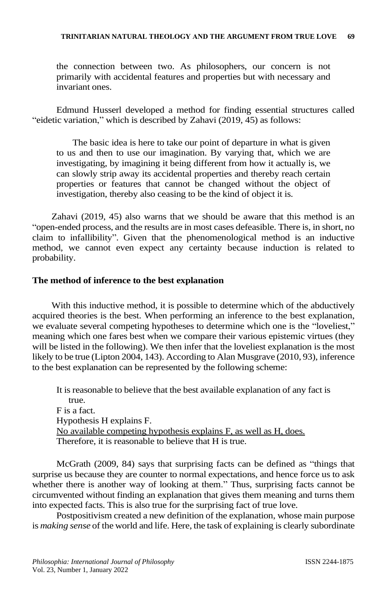the connection between two. As philosophers, our concern is not primarily with accidental features and properties but with necessary and invariant ones.

Edmund Husserl developed a method for finding essential structures called "eidetic variation," which is described by Zahavi (2019, 45) as follows:

The basic idea is here to take our point of departure in what is given to us and then to use our imagination. By varying that, which we are investigating, by imagining it being different from how it actually is, we can slowly strip away its accidental properties and thereby reach certain properties or features that cannot be changed without the object of investigation, thereby also ceasing to be the kind of object it is.

Zahavi (2019, 45) also warns that we should be aware that this method is an "open-ended process, and the results are in most cases defeasible. There is, in short, no claim to infallibility". Given that the phenomenological method is an inductive method, we cannot even expect any certainty because induction is related to probability.

#### **The method of inference to the best explanation**

With this inductive method, it is possible to determine which of the abductively acquired theories is the best. When performing an inference to the best explanation, we evaluate several competing hypotheses to determine which one is the "loveliest," meaning which one fares best when we compare their various epistemic virtues (they will be listed in the following). We then infer that the loveliest explanation is the most likely to be true (Lipton 2004, 143). According to Alan Musgrave (2010, 93), inference to the best explanation can be represented by the following scheme:

It is reasonable to believe that the best available explanation of any fact is true. F is a fact. Hypothesis H explains F. No available competing hypothesis explains F, as well as H, does. Therefore, it is reasonable to believe that H is true.

McGrath (2009, 84) says that surprising facts can be defined as "things that surprise us because they are counter to normal expectations, and hence force us to ask whether there is another way of looking at them." Thus, surprising facts cannot be circumvented without finding an explanation that gives them meaning and turns them into expected facts. This is also true for the surprising fact of true love.

Postpositivism created a new definition of the explanation, whose main purpose is *making sense* of the world and life. Here, the task of explaining is clearly subordinate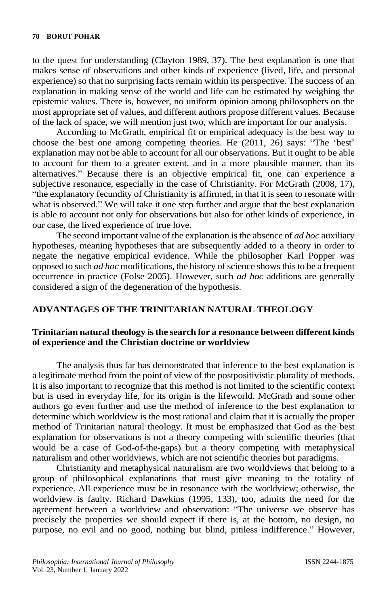to the quest for understanding (Clayton 1989, 37). The best explanation is one that makes sense of observations and other kinds of experience (lived, life, and personal experience) so that no surprising facts remain within its perspective. The success of an explanation in making sense of the world and life can be estimated by weighing the epistemic values. There is, however, no uniform opinion among philosophers on the most appropriate set of values, and different authors propose different values. Because of the lack of space, we will mention just two, which are important for our analysis.

According to McGrath, empirical fit or empirical adequacy is the best way to choose the best one among competing theories. He (2011, 26) says: "The 'best' explanation may not be able to account for all our observations. But it ought to be able to account for them to a greater extent, and in a more plausible manner, than its alternatives." Because there is an objective empirical fit, one can experience a subjective resonance, especially in the case of Christianity. For McGrath (2008, 17), "the explanatory fecundity of Christianity is affirmed, in that it is seen to resonate with what is observed." We will take it one step further and argue that the best explanation is able to account not only for observations but also for other kinds of experience, in our case, the lived experience of true love.

The second important value of the explanation is the absence of *ad hoc* auxiliary hypotheses, meaning hypotheses that are subsequently added to a theory in order to negate the negative empirical evidence. While the philosopher Karl Popper was opposed to such *ad hoc* modifications, the history of science shows this to be a frequent occurrence in practice (Folse 2005). However, such *ad hoc* additions are generally considered a sign of the degeneration of the hypothesis.

#### **ADVANTAGES OF THE TRINITARIAN NATURAL THEOLOGY**

# **Trinitarian natural theology is the search for a resonance between different kinds of experience and the Christian doctrine or worldview**

The analysis thus far has demonstrated that inference to the best explanation is a legitimate method from the point of view of the postpositivistic plurality of methods. It is also important to recognize that this method is not limited to the scientific context but is used in everyday life, for its origin is the lifeworld. McGrath and some other authors go even further and use the method of inference to the best explanation to determine which worldview is the most rational and claim that it is actually the proper method of Trinitarian natural theology. It must be emphasized that God as the best explanation for observations is not a theory competing with scientific theories (that would be a case of God-of-the-gaps) but a theory competing with metaphysical naturalism and other worldviews, which are not scientific theories but paradigms.

Christianity and metaphysical naturalism are two worldviews that belong to a group of philosophical explanations that must give meaning to the totality of experience. All experience must be in resonance with the worldview; otherwise, the worldview is faulty. Richard Dawkins (1995, 133), too, admits the need for the agreement between a worldview and observation: "The universe we observe has precisely the properties we should expect if there is, at the bottom, no design, no purpose, no evil and no good, nothing but blind, pitiless indifference." However,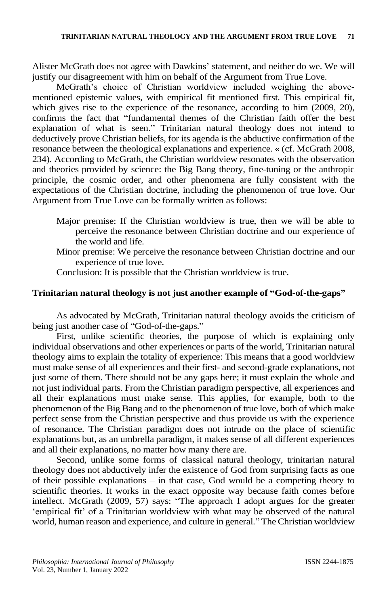Alister McGrath does not agree with Dawkins' statement, and neither do we. We will justify our disagreement with him on behalf of the Argument from True Love.

McGrath's choice of Christian worldview included weighing the abovementioned epistemic values, with empirical fit mentioned first. This empirical fit, which gives rise to the experience of the resonance, according to him (2009, 20), confirms the fact that "fundamental themes of the Christian faith offer the best explanation of what is seen." Trinitarian natural theology does not intend to deductively prove Christian beliefs, for its agenda is the abductive confirmation of the resonance between the theological explanations and experience. « (cf. McGrath 2008, 234). According to McGrath, the Christian worldview resonates with the observation and theories provided by science: the Big Bang theory, fine-tuning or the anthropic principle, the cosmic order, and other phenomena are fully consistent with the expectations of the Christian doctrine, including the phenomenon of true love. Our Argument from True Love can be formally written as follows:

- Major premise: If the Christian worldview is true, then we will be able to perceive the resonance between Christian doctrine and our experience of the world and life.
- Minor premise: We perceive the resonance between Christian doctrine and our experience of true love.
- Conclusion: It is possible that the Christian worldview is true.

#### **Trinitarian natural theology is not just another example of "God-of-the-gaps"**

As advocated by McGrath, Trinitarian natural theology avoids the criticism of being just another case of "God-of-the-gaps."

First, unlike scientific theories, the purpose of which is explaining only individual observations and other experiences or parts of the world, Trinitarian natural theology aims to explain the totality of experience: This means that a good worldview must make sense of all experiences and their first- and second-grade explanations, not just some of them. There should not be any gaps here; it must explain the whole and not just individual parts. From the Christian paradigm perspective, all experiences and all their explanations must make sense. This applies, for example, both to the phenomenon of the Big Bang and to the phenomenon of true love, both of which make perfect sense from the Christian perspective and thus provide us with the experience of resonance. The Christian paradigm does not intrude on the place of scientific explanations but, as an umbrella paradigm, it makes sense of all different experiences and all their explanations, no matter how many there are.

Second, unlike some forms of classical natural theology, trinitarian natural theology does not abductively infer the existence of God from surprising facts as one of their possible explanations  $-$  in that case, God would be a competing theory to scientific theories. It works in the exact opposite way because faith comes before intellect. McGrath (2009, 57) says: "The approach I adopt argues for the greater 'empirical fit' of a Trinitarian worldview with what may be observed of the natural world, human reason and experience, and culture in general." The Christian worldview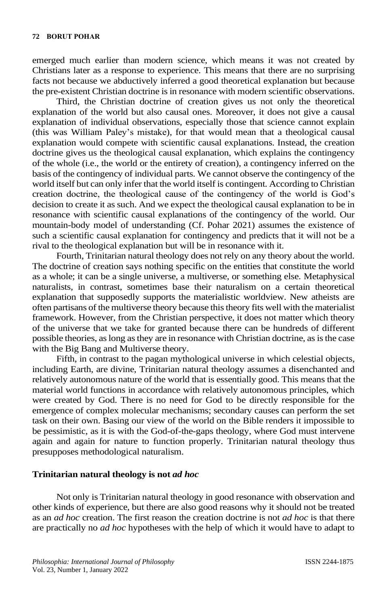emerged much earlier than modern science, which means it was not created by Christians later as a response to experience. This means that there are no surprising facts not because we abductively inferred a good theoretical explanation but because the pre-existent Christian doctrine is in resonance with modern scientific observations.

Third, the Christian doctrine of creation gives us not only the theoretical explanation of the world but also causal ones. Moreover, it does not give a causal explanation of individual observations, especially those that science cannot explain (this was William Paley's mistake), for that would mean that a theological causal explanation would compete with scientific causal explanations. Instead, the creation doctrine gives us the theological causal explanation, which explains the contingency of the whole (i.e., the world or the entirety of creation), a contingency inferred on the basis of the contingency of individual parts. We cannot observe the contingency of the world itself but can only infer that the world itself is contingent. According to Christian creation doctrine, the theological cause of the contingency of the world is God's decision to create it as such. And we expect the theological causal explanation to be in resonance with scientific causal explanations of the contingency of the world. Our mountain-body model of understanding (Cf. Pohar 2021) assumes the existence of such a scientific causal explanation for contingency and predicts that it will not be a rival to the theological explanation but will be in resonance with it.

Fourth, Trinitarian natural theology does not rely on any theory about the world. The doctrine of creation says nothing specific on the entities that constitute the world as a whole; it can be a single universe, a multiverse, or something else. Metaphysical naturalists, in contrast, sometimes base their naturalism on a certain theoretical explanation that supposedly supports the materialistic worldview. New atheists are often partisans of the multiverse theory because this theory fits well with the materialist framework. However, from the Christian perspective, it does not matter which theory of the universe that we take for granted because there can be hundreds of different possible theories, as long as they are in resonance with Christian doctrine, as is the case with the Big Bang and Multiverse theory.

Fifth, in contrast to the pagan mythological universe in which celestial objects, including Earth, are divine, Trinitarian natural theology assumes a disenchanted and relatively autonomous nature of the world that is essentially good. This means that the material world functions in accordance with relatively autonomous principles, which were created by God. There is no need for God to be directly responsible for the emergence of complex molecular mechanisms; secondary causes can perform the set task on their own. Basing our view of the world on the Bible renders it impossible to be pessimistic, as it is with the God-of-the-gaps theology, where God must intervene again and again for nature to function properly. Trinitarian natural theology thus presupposes methodological naturalism.

#### **Trinitarian natural theology is not** *ad hoc*

Not only is Trinitarian natural theology in good resonance with observation and other kinds of experience, but there are also good reasons why it should not be treated as an *ad hoc* creation. The first reason the creation doctrine is not *ad hoc* is that there are practically no *ad hoc* hypotheses with the help of which it would have to adapt to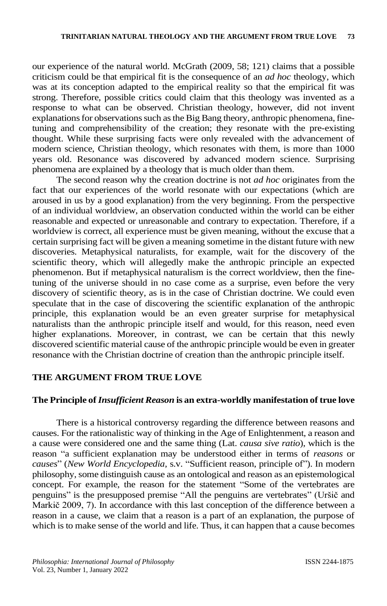our experience of the natural world. McGrath (2009, 58; 121) claims that a possible criticism could be that empirical fit is the consequence of an *ad hoc* theology, which was at its conception adapted to the empirical reality so that the empirical fit was strong. Therefore, possible critics could claim that this theology was invented as a response to what can be observed. Christian theology, however, did not invent explanations for observations such as the Big Bang theory, anthropic phenomena, finetuning and comprehensibility of the creation; they resonate with the pre-existing thought. While these surprising facts were only revealed with the advancement of modern science, Christian theology, which resonates with them, is more than 1000 years old. Resonance was discovered by advanced modern science. Surprising phenomena are explained by a theology that is much older than them.

The second reason why the creation doctrine is not *ad hoc* originates from the fact that our experiences of the world resonate with our expectations (which are aroused in us by a good explanation) from the very beginning. From the perspective of an individual worldview, an observation conducted within the world can be either reasonable and expected or unreasonable and contrary to expectation. Therefore, if a worldview is correct, all experience must be given meaning, without the excuse that a certain surprising fact will be given a meaning sometime in the distant future with new discoveries. Metaphysical naturalists, for example, wait for the discovery of the scientific theory, which will allegedly make the anthropic principle an expected phenomenon. But if metaphysical naturalism is the correct worldview, then the finetuning of the universe should in no case come as a surprise, even before the very discovery of scientific theory, as is in the case of Christian doctrine. We could even speculate that in the case of discovering the scientific explanation of the anthropic principle, this explanation would be an even greater surprise for metaphysical naturalists than the anthropic principle itself and would, for this reason, need even higher explanations. Moreover, in contrast, we can be certain that this newly discovered scientific material cause of the anthropic principle would be even in greater resonance with the Christian doctrine of creation than the anthropic principle itself.

# **THE ARGUMENT FROM TRUE LOVE**

#### **The Principle of** *Insufficient Reason* **is an extra-worldly manifestation of true love**

There is a historical controversy regarding the difference between reasons and causes. For the rationalistic way of thinking in the Age of Enlightenment, a reason and a cause were considered one and the same thing (Lat. *causa sive ratio*), which is the reason "a sufficient explanation may be understood either in terms of *reasons* or *causes*" (*New World Encyclopedia*, s.v. "Sufficient reason, principle of"). In modern philosophy,some distinguish cause as an ontological and reason as an epistemological concept. For example, the reason for the statement "Some of the vertebrates are penguins" is the presupposed premise "All the penguins are vertebrates" (Uršič and Markič 2009, 7). In accordance with this last conception of the difference between a reason in a cause, we claim that a reason is a part of an explanation, the purpose of which is to make sense of the world and life. Thus, it can happen that a cause becomes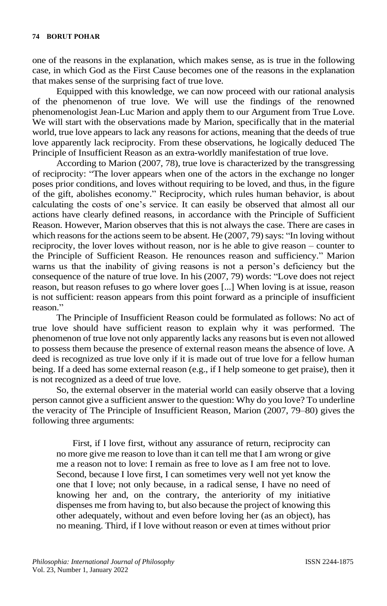one of the reasons in the explanation, which makes sense, as is true in the following case, in which God as the First Cause becomes one of the reasons in the explanation that makes sense of the surprising fact of true love.

Equipped with this knowledge, we can now proceed with our rational analysis of the phenomenon of true love. We will use the findings of the renowned phenomenologist Jean-Luc Marion and apply them to our Argument from True Love. We will start with the observations made by Marion, specifically that in the material world, true love appears to lack any reasons for actions, meaning that the deeds of true love apparently lack reciprocity. From these observations, he logically deduced The Principle of Insufficient Reason as an extra-worldly manifestation of true love.

According to Marion (2007, 78), true love is characterized by the transgressing of reciprocity: "The lover appears when one of the actors in the exchange no longer poses prior conditions, and loves without requiring to be loved, and thus, in the figure of the gift, abolishes economy." Reciprocity, which rules human behavior, is about calculating the costs of one's service. It can easily be observed that almost all our actions have clearly defined reasons, in accordance with the Principle of Sufficient Reason. However, Marion observes that this is not always the case. There are cases in which reasons for the actions seem to be absent. He (2007, 79) says: "In loving without reciprocity, the lover loves without reason, nor is he able to give reason – counter to the Principle of Sufficient Reason. He renounces reason and sufficiency." Marion warns us that the inability of giving reasons is not a person's deficiency but the consequence of the nature of true love. In his (2007, 79) words: "Love does not reject reason, but reason refuses to go where lover goes [...] When loving is at issue, reason is not sufficient: reason appears from this point forward as a principle of insufficient reason."

The Principle of Insufficient Reason could be formulated as follows: No act of true love should have sufficient reason to explain why it was performed. The phenomenon of true love not only apparently lacks any reasons but is even not allowed to possess them because the presence of external reason means the absence of love. A deed is recognized as true love only if it is made out of true love for a fellow human being. If a deed has some external reason (e.g., if I help someone to get praise), then it is not recognized as a deed of true love.

So, the external observer in the material world can easily observe that a loving person cannot give a sufficient answer to the question: Why do you love? To underline the veracity of The Principle of Insufficient Reason, Marion (2007, 79–80) gives the following three arguments:

First, if I love first, without any assurance of return, reciprocity can no more give me reason to love than it can tell me that I am wrong or give me a reason not to love: I remain as free to love as I am free not to love. Second, because I love first, I can sometimes very well not yet know the one that I love; not only because, in a radical sense, I have no need of knowing her and, on the contrary, the anteriority of my initiative dispenses me from having to, but also because the project of knowing this other adequately, without and even before loving her (as an object), has no meaning. Third, if I love without reason or even at times without prior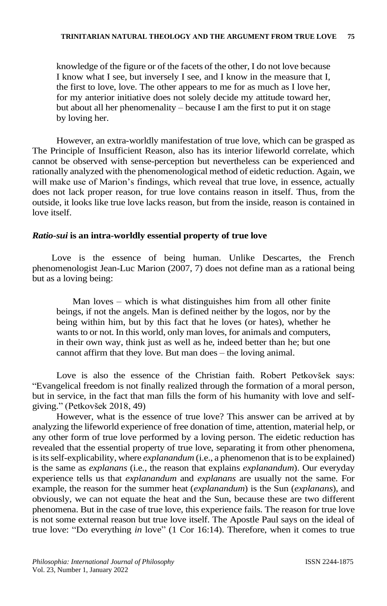knowledge of the figure or of the facets of the other, I do not love because I know what I see, but inversely I see, and I know in the measure that I, the first to love, love. The other appears to me for as much as I love her, for my anterior initiative does not solely decide my attitude toward her, but about all her phenomenality – because I am the first to put it on stage by loving her.

However, an extra-worldly manifestation of true love, which can be grasped as The Principle of Insufficient Reason, also has its interior lifeworld correlate, which cannot be observed with sense-perception but nevertheless can be experienced and rationally analyzed with the phenomenological method of eidetic reduction. Again, we will make use of Marion's findings, which reveal that true love, in essence, actually does not lack proper reason, for true love contains reason in itself. Thus, from the outside, it looks like true love lacks reason, but from the inside, reason is contained in love itself.

#### *Ratio-sui* **is an intra-worldly essential property of true love**

Love is the essence of being human. Unlike Descartes, the French phenomenologist Jean-Luc Marion (2007, 7) does not define man as a rational being but as a loving being:

Man loves – which is what distinguishes him from all other finite beings, if not the angels. Man is defined neither by the logos, nor by the being within him, but by this fact that he loves (or hates), whether he wants to or not. In this world, only man loves, for animals and computers, in their own way, think just as well as he, indeed better than he; but one cannot affirm that they love. But man does – the loving animal.

Love is also the essence of the Christian faith. Robert Petkovšek says: "Evangelical freedom is not finally realized through the formation of a moral person, but in service, in the fact that man fills the form of his humanity with love and selfgiving." (Petkovšek 2018, 49)

However, what is the essence of true love? This answer can be arrived at by analyzing the lifeworld experience of free donation of time, attention, material help, or any other form of true love performed by a loving person. The eidetic reduction has revealed that the essential property of true love, separating it from other phenomena, is its self-explicability, where *explanandum* (i.e., a phenomenon that is to be explained) is the same as *explanans* (i.e., the reason that explains *explanandum*). Our everyday experience tells us that *explanandum* and *explanans* are usually not the same. For example, the reason for the summer heat (*explanandum*) is the Sun (*explanans*), and obviously, we can not equate the heat and the Sun, because these are two different phenomena. But in the case of true love, this experience fails. The reason for true love is not some external reason but true love itself. The Apostle Paul says on the ideal of true love: "Do everything *in* love" (1 Cor 16:14). Therefore, when it comes to true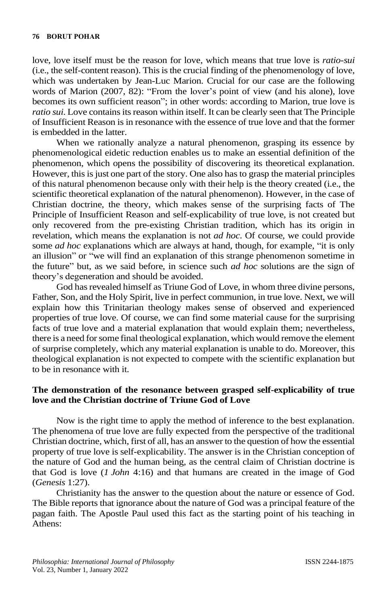love, love itself must be the reason for love, which means that true love is *ratio-sui* (i.e., the self-content reason). This is the crucial finding of the phenomenology of love, which was undertaken by Jean-Luc Marion. Crucial for our case are the following words of Marion (2007, 82): "From the lover's point of view (and his alone), love becomes its own sufficient reason"; in other words: according to Marion, true love is *ratio sui*. Love contains its reason within itself. It can be clearly seen that The Principle of Insufficient Reason is in resonance with the essence of true love and that the former is embedded in the latter.

When we rationally analyze a natural phenomenon, grasping its essence by phenomenological eidetic reduction enables us to make an essential definition of the phenomenon, which opens the possibility of discovering its theoretical explanation. However, this is just one part of the story. One also has to grasp the material principles of this natural phenomenon because only with their help is the theory created (i.e., the scientific theoretical explanation of the natural phenomenon). However, in the case of Christian doctrine, the theory, which makes sense of the surprising facts of The Principle of Insufficient Reason and self-explicability of true love, is not created but only recovered from the pre-existing Christian tradition, which has its origin in revelation, which means the explanation is not *ad hoc*. Of course, we could provide some *ad hoc* explanations which are always at hand, though, for example, "it is only an illusion" or "we will find an explanation of this strange phenomenon sometime in the future" but, as we said before, in science such *ad hoc* solutions are the sign of theory's degeneration and should be avoided.

God has revealed himself as Triune God of Love, in whom three divine persons, Father, Son, and the Holy Spirit, live in perfect communion, in true love. Next, we will explain how this Trinitarian theology makes sense of observed and experienced properties of true love. Of course, we can find some material cause for the surprising facts of true love and a material explanation that would explain them; nevertheless, there is a need for some final theological explanation, which would remove the element of surprise completely, which any material explanation is unable to do. Moreover, this theological explanation is not expected to compete with the scientific explanation but to be in resonance with it.

#### **The demonstration of the resonance between grasped self-explicability of true love and the Christian doctrine of Triune God of Love**

Now is the right time to apply the method of inference to the best explanation. The phenomena of true love are fully expected from the perspective of the traditional Christian doctrine, which, first of all, has an answer to the question of how the essential property of true love is self-explicability. The answer is in the Christian conception of the nature of God and the human being, as the central claim of Christian doctrine is that God is love (*1 John* 4:16) and that humans are created in the image of God (*Genesis* 1:27).

Christianity has the answer to the question about the nature or essence of God. The Bible reports that ignorance about the nature of God was a principal feature of the pagan faith. The Apostle Paul used this fact as the starting point of his teaching in Athens: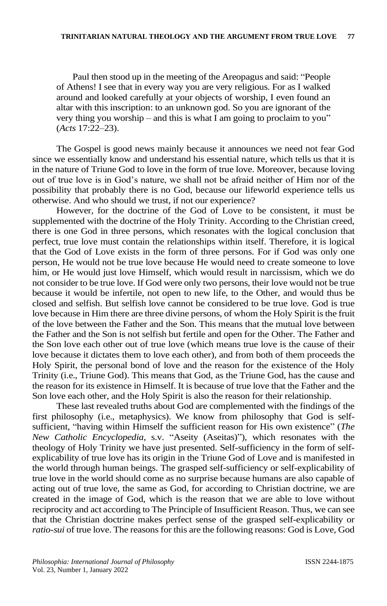Paul then stood up in the meeting of the Areopagus and said: "People of Athens! I see that in every way you are very religious. For as I walked around and looked carefully at your objects of worship, I even found an altar with this inscription: to an unknown god. So you are ignorant of the very thing you worship – and this is what I am going to proclaim to you" (*Acts* 17:22–23).

The Gospel is good news mainly because it announces we need not fear God since we essentially know and understand his essential nature, which tells us that it is in the nature of Triune God to love in the form of true love. Moreover, because loving out of true love is in God's nature, we shall not be afraid neither of Him nor of the possibility that probably there is no God, because our lifeworld experience tells us otherwise. And who should we trust, if not our experience?

However, for the doctrine of the God of Love to be consistent, it must be supplemented with the doctrine of the Holy Trinity. According to the Christian creed, there is one God in three persons, which resonates with the logical conclusion that perfect, true love must contain the relationships within itself. Therefore, it is logical that the God of Love exists in the form of three persons. For if God was only one person, He would not be true love because He would need to create someone to love him, or He would just love Himself, which would result in narcissism, which we do not consider to be true love. If God were only two persons, their love would not be true because it would be infertile, not open to new life, to the Other, and would thus be closed and selfish. But selfish love cannot be considered to be true love. God is true love because in Him there are three divine persons, of whom the Holy Spirit is the fruit of the love between the Father and the Son. This means that the mutual love between the Father and the Son is not selfish but fertile and open for the Other. The Father and the Son love each other out of true love (which means true love is the cause of their love because it dictates them to love each other), and from both of them proceeds the Holy Spirit, the personal bond of love and the reason for the existence of the Holy Trinity (i.e., Triune God). This means that God, as the Triune God, has the cause and the reason for its existence in Himself. It is because of true love that the Father and the Son love each other, and the Holy Spirit is also the reason for their relationship.

These last revealed truths about God are complemented with the findings of the first philosophy (i.e., metaphysics). We know from philosophy that God is selfsufficient, "having within Himself the sufficient reason for His own existence" (*The New Catholic Encyclopedia*, s.v. "Aseity (Aseitas)"), which resonates with the theology of Holy Trinity we have just presented. Self-sufficiency in the form of selfexplicability of true love has its origin in the Triune God of Love and is manifested in the world through human beings. The grasped self-sufficiency or self-explicability of true love in the world should come as no surprise because humans are also capable of acting out of true love, the same as God, for according to Christian doctrine, we are created in the image of God, which is the reason that we are able to love without reciprocity and act according to The Principle of Insufficient Reason. Thus, we can see that the Christian doctrine makes perfect sense of the grasped self-explicability or *ratio-sui* of true love. The reasons for this are the following reasons: God is Love, God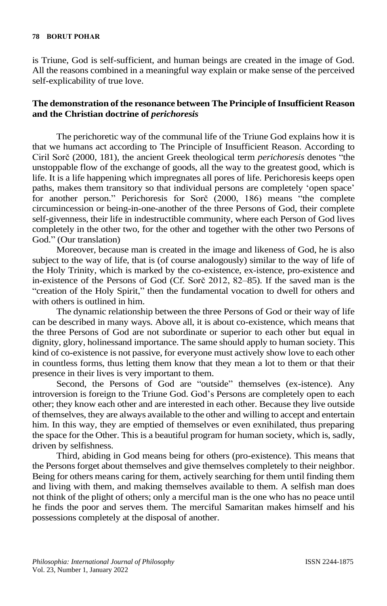is Triune, God is self-sufficient, and human beings are created in the image of God. All the reasons combined in a meaningful way explain or make sense of the perceived self-explicability of true love.

#### **The demonstration of the resonance between The Principle of Insufficient Reason and the Christian doctrine of** *perichoresis*

The perichoretic way of the communal life of the Triune God explains how it is that we humans act according to The Principle of Insufficient Reason. According to Ciril Sorč (2000, 181), the ancient Greek theological term *perichoresis* denotes "the unstoppable flow of the exchange of goods, all the way to the greatest good, which is life. It is a life happening which impregnates all pores of life. Perichoresis keeps open paths, makes them transitory so that individual persons are completely 'open space' for another person." Perichoresis for Sorč (2000, 186) means "the complete circumincession or being-in-one-another of the three Persons of God, their complete self-givenness, their life in indestructible community, where each Person of God lives completely in the other two, for the other and together with the other two Persons of God." (Our translation)

Moreover, because man is created in the image and likeness of God, he is also subject to the way of life, that is (of course analogously) similar to the way of life of the Holy Trinity, which is marked by the co-existence, ex-istence, pro-existence and in-existence of the Persons of God (Cf. Sorč 2012, 82–85). If the saved man is the "creation of the Holy Spirit," then the fundamental vocation to dwell for others and with others is outlined in him.

The dynamic relationship between the three Persons of God or their way of life can be described in many ways. Above all, it is about co-existence, which means that the three Persons of God are not subordinate or superior to each other but equal in dignity, glory, holinessand importance. The same should apply to human society. This kind of co-existence is not passive, for everyone must actively show love to each other in countless forms, thus letting them know that they mean a lot to them or that their presence in their lives is very important to them.

Second, the Persons of God are "outside" themselves (ex-istence). Any introversion is foreign to the Triune God. God's Persons are completely open to each other; they know each other and are interested in each other. Because they live outside of themselves, they are always available to the other and willing to accept and entertain him. In this way, they are emptied of themselves or even exnihilated, thus preparing the space for the Other. This is a beautiful program for human society, which is, sadly, driven by selfishness.

Third, abiding in God means being for others (pro-existence). This means that the Persons forget about themselves and give themselves completely to their neighbor. Being for others means caring for them, actively searching for them until finding them and living with them, and making themselves available to them. A selfish man does not think of the plight of others; only a merciful man is the one who has no peace until he finds the poor and serves them. The merciful Samaritan makes himself and his possessions completely at the disposal of another.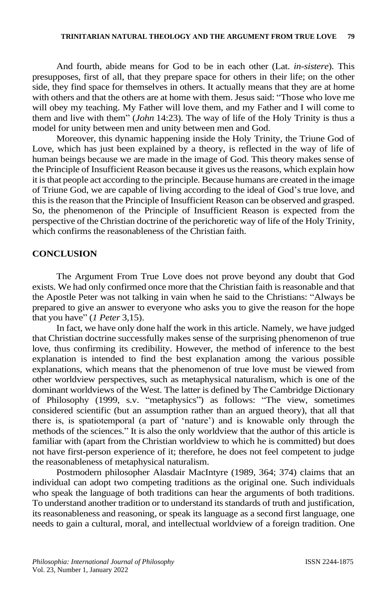And fourth, abide means for God to be in each other (Lat. *in-sistere*). This presupposes, first of all, that they prepare space for others in their life; on the other side, they find space for themselves in others. It actually means that they are at home with others and that the others are at home with them. Jesus said: "Those who love me will obey my teaching. My Father will love them, and my Father and I will come to them and live with them" (*John* 14:23). The way of life of the Holy Trinity is thus a model for unity between men and unity between men and God.

Moreover, this dynamic happening inside the Holy Trinity, the Triune God of Love, which has just been explained by a theory, is reflected in the way of life of human beings because we are made in the image of God. This theory makes sense of the Principle of Insufficient Reason because it gives usthe reasons, which explain how it isthat people act according to the principle. Because humans are created in the image of Triune God, we are capable of living according to the ideal of God's true love, and this is the reason that the Principle of Insufficient Reason can be observed and grasped. So, the phenomenon of the Principle of Insufficient Reason is expected from the perspective of the Christian doctrine of the perichoretic way of life of the Holy Trinity, which confirms the reasonableness of the Christian faith.

#### **CONCLUSION**

The Argument From True Love does not prove beyond any doubt that God exists. We had only confirmed once more that the Christian faith is reasonable and that the Apostle Peter was not talking in vain when he said to the Christians: "Always be prepared to give an answer to everyone who asks you to give the reason for the hope that you have" (*1 Peter* 3,15).

In fact, we have only done half the work in this article. Namely, we have judged that Christian doctrine successfully makes sense of the surprising phenomenon of true love, thus confirming its credibility. However, the method of inference to the best explanation is intended to find the best explanation among the various possible explanations, which means that the phenomenon of true love must be viewed from other worldview perspectives, such as metaphysical naturalism, which is one of the dominant worldviews of the West. The latter is defined by The Cambridge Dictionary of Philosophy (1999, s.v. "metaphysics") as follows: "The view, sometimes considered scientific (but an assumption rather than an argued theory), that all that there is, is spatiotemporal (a part of 'nature') and is knowable only through the methods of the sciences." It is also the only worldview that the author of this article is familiar with (apart from the Christian worldview to which he is committed) but does not have first-person experience of it; therefore, he does not feel competent to judge the reasonableness of metaphysical naturalism.

Postmodern philosopher Alasdair MacIntyre (1989, 364; 374) claims that an individual can adopt two competing traditions as the original one. Such individuals who speak the language of both traditions can hear the arguments of both traditions. To understand another tradition or to understand its standards of truth and justification, its reasonableness and reasoning, or speak its language as a second first language, one needs to gain a cultural, moral, and intellectual worldview of a foreign tradition. One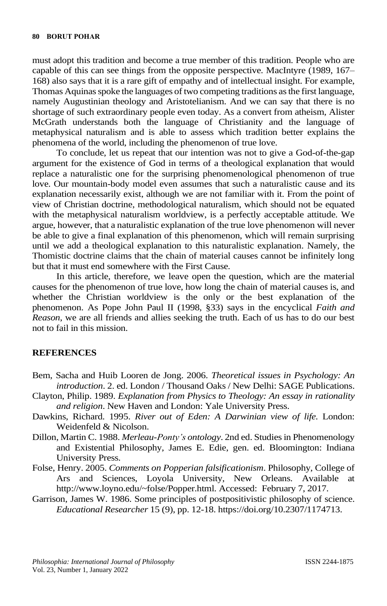must adopt this tradition and become a true member of this tradition. People who are capable of this can see things from the opposite perspective. MacIntyre (1989, 167– 168) also says that it is a rare gift of empathy and of intellectual insight. For example, Thomas Aquinas spoke the languages of two competing traditions as the first language, namely Augustinian theology and Aristotelianism. And we can say that there is no shortage of such extraordinary people even today. As a convert from atheism, Alister McGrath understands both the language of Christianity and the language of metaphysical naturalism and is able to assess which tradition better explains the phenomena of the world, including the phenomenon of true love.

To conclude, let us repeat that our intention was not to give a God-of-the-gap argument for the existence of God in terms of a theological explanation that would replace a naturalistic one for the surprising phenomenological phenomenon of true love. Our mountain-body model even assumes that such a naturalistic cause and its explanation necessarily exist, although we are not familiar with it. From the point of view of Christian doctrine, methodological naturalism, which should not be equated with the metaphysical naturalism worldview, is a perfectly acceptable attitude. We argue, however, that a naturalistic explanation of the true love phenomenon will never be able to give a final explanation of this phenomenon, which will remain surprising until we add a theological explanation to this naturalistic explanation. Namely, the Thomistic doctrine claims that the chain of material causes cannot be infinitely long but that it must end somewhere with the First Cause.

In this article, therefore, we leave open the question, which are the material causes for the phenomenon of true love, how long the chain of material causes is, and whether the Christian worldview is the only or the best explanation of the phenomenon. As Pope John Paul II (1998, §33) says in the encyclical *Faith and Reason*, we are all friends and allies seeking the truth. Each of us has to do our best not to fail in this mission.

# **REFERENCES**

- Bem, Sacha and Huib Looren de Jong. 2006. *Theoretical issues in Psychology: An introduction*. 2. ed. London / Thousand Oaks / New Delhi: SAGE Publications.
- Clayton, Philip. 1989. *Explanation from Physics to Theology: An essay in rationality and religion*. New Haven and London: Yale University Press.
- Dawkins, Richard. 1995. *River out of Eden: A Darwinian view of life.* London: Weidenfeld & Nicolson.
- Dillon, Martin C. 1988. *Merleau-Ponty's ontology*. 2nd ed. Studies in Phenomenology and Existential Philosophy, James E. Edie, gen. ed. Bloomington: Indiana University Press.
- Folse, Henry. 2005. *Comments on Popperian falsificationism*. Philosophy, College of Ars and Sciences, Loyola University, New Orleans. Available at http://www.loyno.edu/~folse/Popper.html. Accessed: February 7, 2017.
- Garrison, James W. 1986. Some principles of postpositivistic philosophy of science. *Educational Researcher* 15 (9), pp. 12-18. https://doi.org/10.2307/1174713.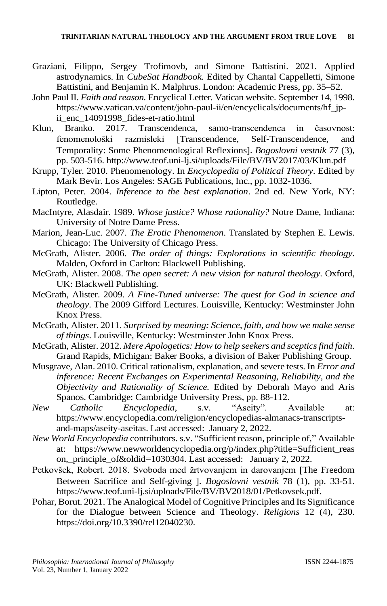- Graziani, Filippo, Sergey Trofimovb, and Simone Battistini. 2021. Applied astrodynamics. In *CubeSat Handbook.* Edited by Chantal Cappelletti, Simone Battistini, and Benjamin K. Malphrus. London: Academic Press, pp. 35–52.
- John Paul II. *Faith and reason.* Encyclical Letter*.* Vatican website. September 14, 1998. https://www.vatican.va/content/john-paul-ii/en/encyclicals/documents/hf\_jpii enc 14091998\_fides-et-ratio.html
- Klun, Branko. 2017. Transcendenca, samo-transcendenca in časovnost: fenomenološki razmisleki Transcendence, Self-Transcendence, and Temporality: Some Phenomenological Reflexions]. *Bogoslovni vestnik* 77 (3), pp. 503-516. http://www.teof.uni-lj.si/uploads/File/BV/BV2017/03/Klun.pdf
- Krupp, Tyler. 2010. Phenomenology. In *Encyclopedia of Political Theory*. Edited by Mark Bevir. Los Angeles: SAGE Publications, Inc., pp. 1032-1036.
- Lipton, Peter. 2004. *Inference to the best explanation*. 2nd ed. New York, NY: Routledge.
- MacIntyre, Alasdair. 1989. *Whose justice? Whose rationality?* Notre Dame, Indiana: University of Notre Dame Press.
- Marion, Jean-Luc. 2007. *The Erotic Phenomenon*. Translated by Stephen E. Lewis. Chicago: The University of Chicago Press.
- McGrath, Alister. 2006. *The order of things: Explorations in scientific theology*. Malden, Oxford in Carlton: Blackwell Publishing.
- McGrath, Alister. 2008. *The open secret: A new vision for natural theology*. Oxford, UK: Blackwell Publishing.
- McGrath, Alister. 2009. *A Fine-Tuned universe: The quest for God in science and theology*. The 2009 Gifford Lectures. Louisville, Kentucky: Westminster John Knox Press.
- McGrath, Alister. 2011. *Surprised by meaning: Science, faith, and how we make sense of things*. Louisville, Kentucky: Westminster John Knox Press.
- McGrath, Alister. 2012. *Mere Apologetics: How to help seekers and sceptics find faith*. Grand Rapids, Michigan: Baker Books, a division of Baker Publishing Group.
- Musgrave, Alan. 2010. Critical rationalism, explanation, and severe tests. In *Error and inference: Recent Exchanges on Experimental Reasoning, Reliability, and the Objectivity and Rationality of Science.* Edited by Deborah Mayo and Aris Spanos. Cambridge: Cambridge University Press, pp. 88-112.
- *New Catholic Encyclopedia*, s.v. "Aseity". Available at: https://www.encyclopedia.com/religion/encyclopedias-almanacs-transcriptsand-maps/aseity-aseitas. Last accessed: January 2, 2022.
- *New World Encyclopedia* contributors. s.v. "Sufficient reason, principle of," Available at: [https://www.newworldencyclopedia.org/p/index.php?title=Sufficient\\_reas](https://www.newworldencyclopedia.org/p/index.php?title=Sufficient_reason,_principle_of&oldid=1030304) [on,\\_principle\\_of&oldid=1030304.](https://www.newworldencyclopedia.org/p/index.php?title=Sufficient_reason,_principle_of&oldid=1030304) Last accessed: January 2, 2022.
- Petkovšek, Robert. 2018. Svoboda med žrtvovanjem in darovanjem The Freedom Between Sacrifice and Self-giving 1. *Bogoslovni vestnik* 78 (1), pp. 33-51. [https://www.teof.uni-lj.si/uploads/File/BV/BV2018/01/Petkovsek.pdf.](https://www.teof.uni-lj.si/uploads/File/BV/BV2018/01/Petkovsek.pdf)
- Pohar, Borut. 2021. The Analogical Model of Cognitive Principles and Its Significance for the Dialogue between Science and Theology. *Religions* 12 (4), 230. [https://doi.org/10.3390/rel12040230.](https://doi.org/10.3390/rel12040230)